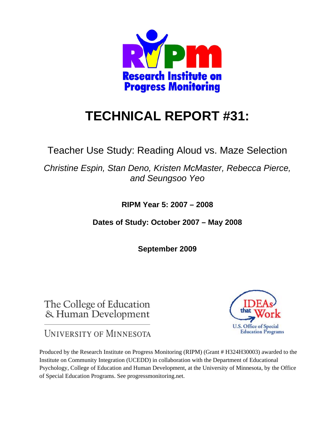

# **TECHNICAL REPORT #31:**

Teacher Use Study: Reading Aloud vs. Maze Selection

*Christine Espin, Stan Deno, Kristen McMaster, Rebecca Pierce, and Seungsoo Yeo* 

**RIPM Year 5: 2007 – 2008** 

**Dates of Study: October 2007 – May 2008** 

**September 2009** 

The College of Education & Human Development

U.S. Office of Special **Education Programs** 

UNIVERSITY OF MINNESOTA

Produced by the Research Institute on Progress Monitoring (RIPM) (Grant # H324H30003) awarded to the Institute on Community Integration (UCEDD) in collaboration with the Department of Educational Psychology, College of Education and Human Development, at the University of Minnesota, by the Office of Special Education Programs. See progressmonitoring.net.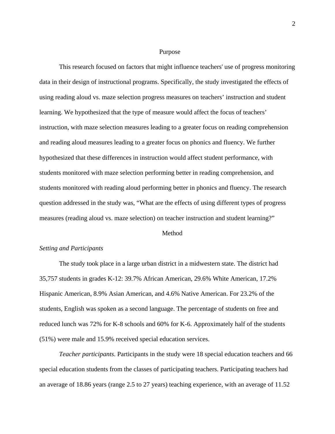#### Purpose

This research focused on factors that might influence teachers' use of progress monitoring data in their design of instructional programs. Specifically, the study investigated the effects of using reading aloud vs. maze selection progress measures on teachers' instruction and student learning. We hypothesized that the type of measure would affect the focus of teachers' instruction, with maze selection measures leading to a greater focus on reading comprehension and reading aloud measures leading to a greater focus on phonics and fluency. We further hypothesized that these differences in instruction would affect student performance, with students monitored with maze selection performing better in reading comprehension, and students monitored with reading aloud performing better in phonics and fluency. The research question addressed in the study was, "What are the effects of using different types of progress measures (reading aloud vs. maze selection) on teacher instruction and student learning?"

## Method

## *Setting and Participants*

The study took place in a large urban district in a midwestern state. The district had 35,757 students in grades K-12: 39.7% African American, 29.6% White American, 17.2% Hispanic American, 8.9% Asian American, and 4.6% Native American. For 23.2% of the students, English was spoken as a second language. The percentage of students on free and reduced lunch was 72% for K-8 schools and 60% for K-6. Approximately half of the students (51%) were male and 15.9% received special education services.

*Teacher participants*. Participants in the study were 18 special education teachers and 66 special education students from the classes of participating teachers. Participating teachers had an average of 18.86 years (range 2.5 to 27 years) teaching experience, with an average of 11.52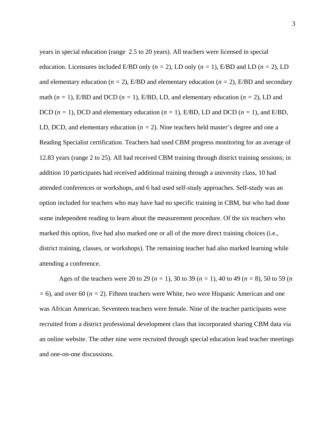years in special education (range 2.5 to 20 years). All teachers were licensed in special education. Licensures included E/BD only  $(n = 2)$ , LD only  $(n = 1)$ , E/BD and LD  $(n = 2)$ , LD and elementary education ( $n = 2$ ), E/BD and elementary education ( $n = 2$ ), E/BD and secondary math  $(n = 1)$ , E/BD and DCD  $(n = 1)$ , E/BD, LD, and elementary education  $(n = 2)$ , LD and DCD  $(n = 1)$ , DCD and elementary education  $(n = 1)$ , E/BD, LD and DCD  $(n = 1)$ , and E/BD, LD, DCD, and elementary education  $(n = 2)$ . Nine teachers held master's degree and one a Reading Specialist certification. Teachers had used CBM progress monitoring for an average of 12.83 years (range 2 to 25). All had received CBM training through district training sessions; in addition 10 participants had received additional training through a university class, 10 had attended conferences or workshops, and 6 had used self-study approaches. Self-study was an option included for teachers who may have had no specific training in CBM, but who had done some independent reading to learn about the measurement procedure. Of the six teachers who marked this option, five had also marked one or all of the more direct training choices (i.e., district training, classes, or workshops). The remaining teacher had also marked learning while attending a conference.

Ages of the teachers were 20 to 29 (*n =* 1), 30 to 39 (*n =* 1), 40 to 49 (*n =* 8), 50 to 59 (*n =* 6), and over 60 (*n =* 2). Fifteen teachers were White, two were Hispanic American and one was African American. Seventeen teachers were female. Nine of the teacher participants were recruited from a district professional development class that incorporated sharing CBM data via an online website. The other nine were recruited through special education lead teacher meetings and one-on-one discussions.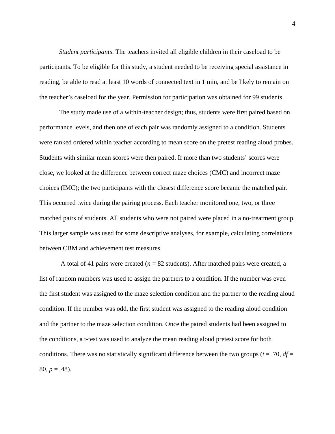*Student participants*. The teachers invited all eligible children in their caseload to be participants. To be eligible for this study, a student needed to be receiving special assistance in reading, be able to read at least 10 words of connected text in 1 min, and be likely to remain on the teacher's caseload for the year. Permission for participation was obtained for 99 students.

The study made use of a within-teacher design; thus, students were first paired based on performance levels, and then one of each pair was randomly assigned to a condition. Students were ranked ordered within teacher according to mean score on the pretest reading aloud probes. Students with similar mean scores were then paired. If more than two students' scores were close, we looked at the difference between correct maze choices (CMC) and incorrect maze choices (IMC); the two participants with the closest difference score became the matched pair. This occurred twice during the pairing process. Each teacher monitored one, two, or three matched pairs of students. All students who were not paired were placed in a no-treatment group. This larger sample was used for some descriptive analyses, for example, calculating correlations between CBM and achievement test measures.

A total of 41 pairs were created  $(n = 82$  students). After matched pairs were created, a list of random numbers was used to assign the partners to a condition. If the number was even the first student was assigned to the maze selection condition and the partner to the reading aloud condition. If the number was odd, the first student was assigned to the reading aloud condition and the partner to the maze selection condition. Once the paired students had been assigned to the conditions, a t-test was used to analyze the mean reading aloud pretest score for both conditions. There was no statistically significant difference between the two groups ( $t = .70$ ,  $df =$  $80, p = .48$ ).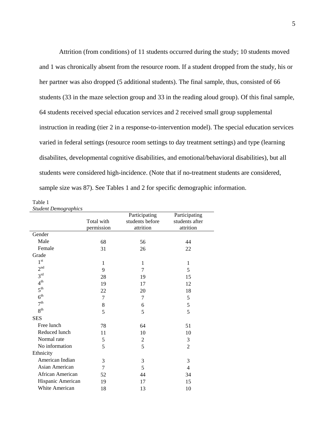Attrition (from conditions) of 11 students occurred during the study; 10 students moved and 1 was chronically absent from the resource room. If a student dropped from the study, his or her partner was also dropped (5 additional students). The final sample, thus, consisted of 66 students (33 in the maze selection group and 33 in the reading aloud group). Of this final sample, 64 students received special education services and 2 received small group supplemental instruction in reading (tier 2 in a response-to-intervention model). The special education services varied in federal settings (resource room settings to day treatment settings) and type (learning disabilites, developmental cognitive disabilities, and emotional/behavioral disabilities), but all students were considered high-incidence. (Note that if no-treatment students are considered, sample size was 87). See Tables 1 and 2 for specific demographic information.

Table 1 *Student Demographics* 

| suuteni Demogrupnics |             |                 |                |
|----------------------|-------------|-----------------|----------------|
|                      |             | Participating   | Participating  |
|                      | Total with  | students before | students after |
|                      | permission  | attrition       | attrition      |
| Gender               |             |                 |                |
| Male                 | 68          | 56              | 44             |
| Female               | 31          | 26              | 22             |
| Grade                |             |                 |                |
| $1^{\rm st}$         | 1           | 1               | 1              |
| 2 <sup>nd</sup>      | 9           | 7               | 5              |
| 3 <sup>rd</sup>      | 28          | 19              | 15             |
| 4 <sup>th</sup>      | 19          | 17              | 12             |
| $5^{\text{th}}$      | 22          | 20              | 18             |
| 6 <sup>th</sup>      | 7           | 7               | 5              |
| 7 <sup>th</sup>      | $\,$ 8 $\,$ | 6               | 5              |
| 8 <sup>th</sup>      | 5           | 5               | 5              |
| <b>SES</b>           |             |                 |                |
| Free lunch           | 78          | 64              | 51             |
| Reduced lunch        | 11          | 10              | 10             |
| Normal rate          | 5           | $\overline{c}$  | 3              |
| No information       | 5           | 5               | $\overline{2}$ |
| Ethnicity            |             |                 |                |
| American Indian      | 3           | 3               | 3              |
| Asian American       | 7           | 5               | 4              |
| African American     | 52          | 44              | 34             |
| Hispanic American    | 19          | 17              | 15             |
| White American       | 18          | 13              | 10             |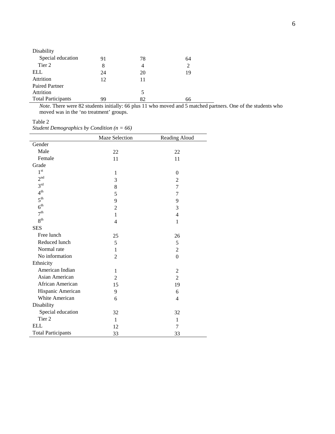| Disability                |    |    |    |
|---------------------------|----|----|----|
| Special education         | 91 | 78 | 64 |
| Tier 2                    | 8  | 4  | 2  |
| ELL                       | 24 | 20 | 19 |
| Attrition                 | 12 | 11 |    |
| <b>Paired Partner</b>     |    |    |    |
| Attrition                 |    | 5  |    |
| <b>Total Participants</b> | 99 | 82 | 66 |

*Note*. There were 82 students initially: 66 plus 11 who moved and 5 matched partners. One of the students who moved was in the 'no treatment' groups.

Table 2

*Student Demographics by Condition (n = 66)* 

|                           | <b>Maze Selection</b> | Reading Aloud  |
|---------------------------|-----------------------|----------------|
| Gender                    |                       |                |
| Male                      | 22                    | 22             |
| Female                    | 11                    | 11             |
| Grade                     |                       |                |
| $1^{\rm st}$              | 1                     | $\Omega$       |
| 2 <sup>nd</sup>           | 3                     | $\overline{2}$ |
| $3^{\text{rd}}$           | 8                     | $\overline{7}$ |
| 4 <sup>th</sup>           | 5                     | 7              |
| $5^{\text{th}}$           | 9                     | 9              |
| 6 <sup>th</sup>           | $\overline{2}$        | 3              |
| 7 <sup>th</sup>           | 1                     | 4              |
| 8 <sup>th</sup>           | $\overline{4}$        | 1              |
| <b>SES</b>                |                       |                |
| Free lunch                | 25                    | 26             |
| Reduced lunch             | 5                     | 5              |
| Normal rate               | 1                     | $\overline{2}$ |
| No information            | $\overline{2}$        | $\mathbf{0}$   |
| Ethnicity                 |                       |                |
| American Indian           | 1                     | $\overline{c}$ |
| Asian American            | $\overline{2}$        | $\overline{2}$ |
| African American          | 15                    | 19             |
| Hispanic American         | 9                     | 6              |
| White American            | 6                     | 4              |
| Disability                |                       |                |
| Special education         | 32                    | 32             |
| Tier <sub>2</sub>         | $\mathbf{1}$          | 1              |
| <b>ELL</b>                | 12                    | $\overline{7}$ |
| <b>Total Participants</b> | 33                    | 33             |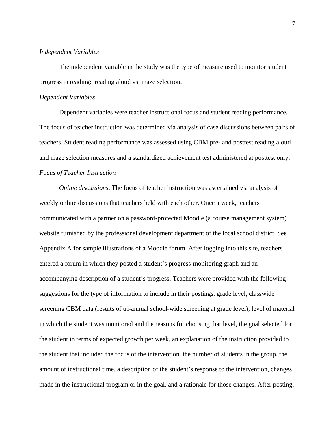## *Independent Variables*

The independent variable in the study was the type of measure used to monitor student progress in reading: reading aloud vs. maze selection.

#### *Dependent Variables*

Dependent variables were teacher instructional focus and student reading performance. The focus of teacher instruction was determined via analysis of case discussions between pairs of teachers. Student reading performance was assessed using CBM pre- and posttest reading aloud and maze selection measures and a standardized achievement test administered at posttest only. *Focus of Teacher Instruction*

*Online discussions*. The focus of teacher instruction was ascertained via analysis of weekly online discussions that teachers held with each other. Once a week, teachers communicated with a partner on a password-protected Moodle (a course management system) website furnished by the professional development department of the local school district. See Appendix A for sample illustrations of a Moodle forum. After logging into this site, teachers entered a forum in which they posted a student's progress-monitoring graph and an accompanying description of a student's progress. Teachers were provided with the following suggestions for the type of information to include in their postings: grade level, classwide screening CBM data (results of tri-annual school-wide screening at grade level), level of material in which the student was monitored and the reasons for choosing that level, the goal selected for the student in terms of expected growth per week, an explanation of the instruction provided to the student that included the focus of the intervention, the number of students in the group, the amount of instructional time, a description of the student's response to the intervention, changes made in the instructional program or in the goal, and a rationale for those changes. After posting,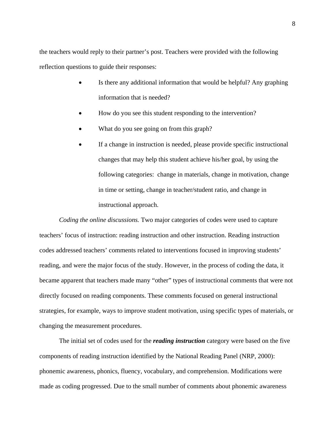the teachers would reply to their partner's post. Teachers were provided with the following reflection questions to guide their responses:

- Is there any additional information that would be helpful? Any graphing information that is needed?
- How do you see this student responding to the intervention?
- What do you see going on from this graph?
- If a change in instruction is needed, please provide specific instructional changes that may help this student achieve his/her goal, by using the following categories: change in materials, change in motivation, change in time or setting, change in teacher/student ratio, and change in instructional approach.

*Coding the online discussions.* Two major categories of codes were used to capture teachers' focus of instruction: reading instruction and other instruction. Reading instruction codes addressed teachers' comments related to interventions focused in improving students' reading, and were the major focus of the study. However, in the process of coding the data, it became apparent that teachers made many "other" types of instructional comments that were not directly focused on reading components. These comments focused on general instructional strategies, for example, ways to improve student motivation, using specific types of materials, or changing the measurement procedures.

The initial set of codes used for the *reading instruction* category were based on the five components of reading instruction identified by the National Reading Panel (NRP, 2000): phonemic awareness, phonics, fluency, vocabulary, and comprehension. Modifications were made as coding progressed. Due to the small number of comments about phonemic awareness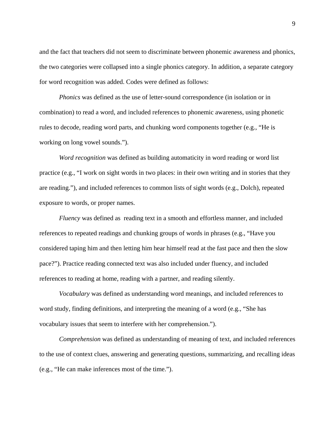and the fact that teachers did not seem to discriminate between phonemic awareness and phonics, the two categories were collapsed into a single phonics category. In addition, a separate category for word recognition was added. Codes were defined as follows:

*Phonics* was defined as the use of letter-sound correspondence (in isolation or in combination) to read a word, and included references to phonemic awareness, using phonetic rules to decode, reading word parts, and chunking word components together (e.g., "He is working on long vowel sounds.").

*Word recognition* was defined as building automaticity in word reading or word list practice (e.g., "I work on sight words in two places: in their own writing and in stories that they are reading."), and included references to common lists of sight words (e.g., Dolch), repeated exposure to words, or proper names.

*Fluency* was defined as reading text in a smooth and effortless manner, and included references to repeated readings and chunking groups of words in phrases (e.g., "Have you considered taping him and then letting him hear himself read at the fast pace and then the slow pace?"). Practice reading connected text was also included under fluency, and included references to reading at home, reading with a partner, and reading silently.

*Vocabulary* was defined as understanding word meanings, and included references to word study, finding definitions, and interpreting the meaning of a word (e.g., "She has vocabulary issues that seem to interfere with her comprehension.").

*Comprehension* was defined as understanding of meaning of text, and included references to the use of context clues, answering and generating questions, summarizing, and recalling ideas (e.g., "He can make inferences most of the time.").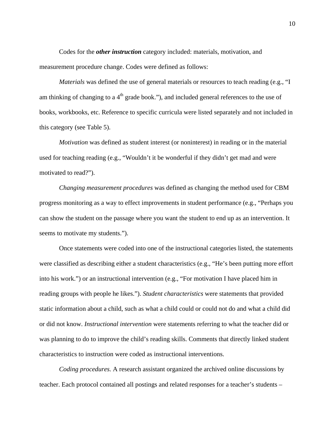Codes for the *other instruction* category included: materials, motivation, and measurement procedure change. Codes were defined as follows:

*Materials* was defined the use of general materials or resources to teach reading (e.g., "I am thinking of changing to a  $4<sup>th</sup>$  grade book."), and included general references to the use of books, workbooks, etc. Reference to specific curricula were listed separately and not included in this category (see Table 5).

*Motivation* was defined as student interest (or noninterest) in reading or in the material used for teaching reading (e.g., "Wouldn't it be wonderful if they didn't get mad and were motivated to read?").

*Changing measurement procedures* was defined as changing the method used for CBM progress monitoring as a way to effect improvements in student performance (e.g., "Perhaps you can show the student on the passage where you want the student to end up as an intervention. It seems to motivate my students.").

Once statements were coded into one of the instructional categories listed, the statements were classified as describing either a student characteristics (e.g., "He's been putting more effort into his work.") or an instructional intervention (e.g., "For motivation I have placed him in reading groups with people he likes."). *Student characteristics* were statements that provided static information about a child, such as what a child could or could not do and what a child did or did not know. *Instructional intervention* were statements referring to what the teacher did or was planning to do to improve the child's reading skills. Comments that directly linked student characteristics to instruction were coded as instructional interventions.

*Coding procedures.* A research assistant organized the archived online discussions by teacher. Each protocol contained all postings and related responses for a teacher's students –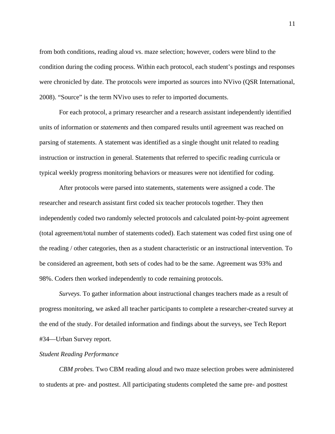from both conditions, reading aloud vs. maze selection; however, coders were blind to the condition during the coding process. Within each protocol, each student's postings and responses were chronicled by date. The protocols were imported as sources into NVivo (QSR International, 2008). "Source" is the term NVivo uses to refer to imported documents.

For each protocol, a primary researcher and a research assistant independently identified units of information or *statements* and then compared results until agreement was reached on parsing of statements. A statement was identified as a single thought unit related to reading instruction or instruction in general. Statements that referred to specific reading curricula or typical weekly progress monitoring behaviors or measures were not identified for coding.

After protocols were parsed into statements, statements were assigned a code. The researcher and research assistant first coded six teacher protocols together. They then independently coded two randomly selected protocols and calculated point-by-point agreement (total agreement/total number of statements coded). Each statement was coded first using one of the reading / other categories, then as a student characteristic or an instructional intervention. To be considered an agreement, both sets of codes had to be the same. Agreement was 93% and 98%. Coders then worked independently to code remaining protocols.

*Surveys.* To gather information about instructional changes teachers made as a result of progress monitoring, we asked all teacher participants to complete a researcher-created survey at the end of the study. For detailed information and findings about the surveys, see Tech Report #34—Urban Survey report.

## *Student Reading Performance*

*CBM probes.* Two CBM reading aloud and two maze selection probes were administered to students at pre- and posttest. All participating students completed the same pre- and posttest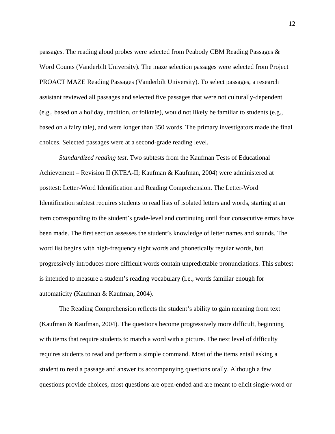passages. The reading aloud probes were selected from Peabody CBM Reading Passages & Word Counts (Vanderbilt University). The maze selection passages were selected from Project PROACT MAZE Reading Passages (Vanderbilt University). To select passages, a research assistant reviewed all passages and selected five passages that were not culturally-dependent (e.g., based on a holiday, tradition, or folktale), would not likely be familiar to students (e.g., based on a fairy tale), and were longer than 350 words. The primary investigators made the final choices. Selected passages were at a second-grade reading level.

*Standardized reading test*. Two subtests from the Kaufman Tests of Educational Achievement – Revision II (KTEA-II; Kaufman & Kaufman, 2004) were administered at posttest: Letter-Word Identification and Reading Comprehension. The Letter-Word Identification subtest requires students to read lists of isolated letters and words, starting at an item corresponding to the student's grade-level and continuing until four consecutive errors have been made. The first section assesses the student's knowledge of letter names and sounds. The word list begins with high-frequency sight words and phonetically regular words, but progressively introduces more difficult words contain unpredictable pronunciations. This subtest is intended to measure a student's reading vocabulary (i.e., words familiar enough for automaticity (Kaufman & Kaufman, 2004).

The Reading Comprehension reflects the student's ability to gain meaning from text (Kaufman & Kaufman, 2004). The questions become progressively more difficult, beginning with items that require students to match a word with a picture. The next level of difficulty requires students to read and perform a simple command. Most of the items entail asking a student to read a passage and answer its accompanying questions orally. Although a few questions provide choices, most questions are open-ended and are meant to elicit single-word or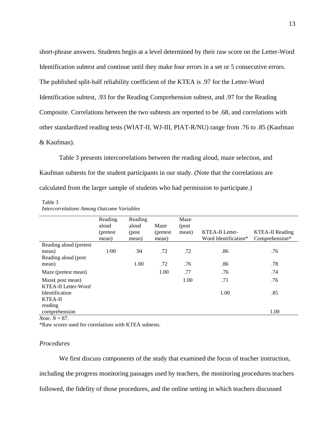short-phrase answers. Students begin at a level determined by their raw score on the Letter-Word Identification subtest and continue until they make four errors in a set or 5 consecutive errors. The published split-half reliability coefficient of the KTEA is .97 for the Letter-Word Identification subtest, .93 for the Reading Comprehension subtest, and .97 for the Reading Composite. Correlations between the two subtests are reported to be .68, and correlations with other standardized reading tests (WIAT-II, WJ-III, PIAT-R/NU) range from .76 to .85 (Kaufman & Kaufman).

Table 3 presents intercorrelations between the reading aloud, maze selection, and Kaufman subtests for the student participants in our study. (Note that the correlations are calculated from the larger sample of students who had permission to participate.)

#### Table 3

|                         | Reading   | Reading |           | Maze  |                        |                        |
|-------------------------|-----------|---------|-----------|-------|------------------------|------------------------|
|                         | aloud     | aloud   | Maze      | (post |                        |                        |
|                         | (pretest) | (post   | (pretest) | mean) | <b>KTEA-II</b> Letter- | <b>KTEA-II Reading</b> |
|                         | mean)     | mean)   | mean)     |       | Word Identification*   | Comprehension*         |
| Reading aloud (pretest) |           |         |           |       |                        |                        |
| mean)                   | 1/00      | .94     | .72       | .72   | .86                    | .76                    |
| Reading aloud (post)    |           |         |           |       |                        |                        |
| mean)                   |           | 1.00    | .72       | .76   | .86                    | .78                    |
| Maze (pretest mean)     |           |         | 1.00      | .77   | .76                    | .74                    |
| Maze(post mean)         |           |         |           | 1.00  | .71                    | .76                    |
| KTEA-II Letter-Word     |           |         |           |       |                        |                        |
| <b>Identification</b>   |           |         |           |       | 1.00                   | .85                    |
| KTEA-II                 |           |         |           |       |                        |                        |
| reading                 |           |         |           |       |                        |                        |
| comprehension           |           |         |           |       |                        | 1.00                   |

## *Intercorrelations Among Outcome Variables*

*Note.*  $N = 87$ .

\*Raw scores used for correlations with KTEA subtests.

## *Procedures*

We first discuss components of the study that examined the focus of teacher instruction,

including the progress monitoring passages used by teachers, the monitoring procedures teachers

followed, the fidelity of those procedures, and the online setting in which teachers discussed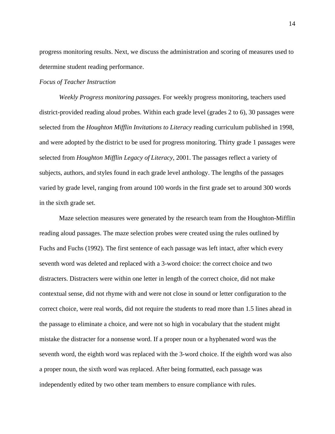progress monitoring results. Next, we discuss the administration and scoring of measures used to determine student reading performance.

### *Focus of Teacher Instruction*

*Weekly Progress monitoring passages.* For weekly progress monitoring, teachers used district-provided reading aloud probes. Within each grade level (grades 2 to 6), 30 passages were selected from the *Houghton Mifflin Invitations to Literacy* reading curriculum published in 1998, and were adopted by the district to be used for progress monitoring. Thirty grade 1 passages were selected from *Houghton Mifflin Legacy of Literacy*, 2001. The passages reflect a variety of subjects, authors, and styles found in each grade level anthology. The lengths of the passages varied by grade level, ranging from around 100 words in the first grade set to around 300 words in the sixth grade set.

Maze selection measures were generated by the research team from the Houghton-Mifflin reading aloud passages. The maze selection probes were created using the rules outlined by Fuchs and Fuchs (1992). The first sentence of each passage was left intact, after which every seventh word was deleted and replaced with a 3-word choice: the correct choice and two distracters. Distracters were within one letter in length of the correct choice, did not make contextual sense, did not rhyme with and were not close in sound or letter configuration to the correct choice, were real words, did not require the students to read more than 1.5 lines ahead in the passage to eliminate a choice, and were not so high in vocabulary that the student might mistake the distracter for a nonsense word. If a proper noun or a hyphenated word was the seventh word, the eighth word was replaced with the 3-word choice. If the eighth word was also a proper noun, the sixth word was replaced. After being formatted, each passage was independently edited by two other team members to ensure compliance with rules.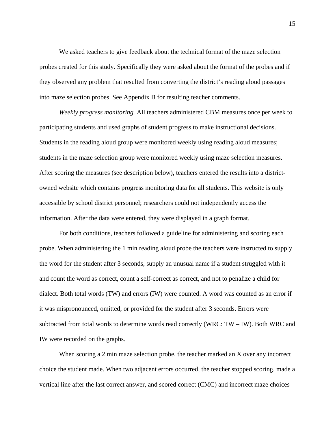We asked teachers to give feedback about the technical format of the maze selection probes created for this study. Specifically they were asked about the format of the probes and if they observed any problem that resulted from converting the district's reading aloud passages into maze selection probes. See Appendix B for resulting teacher comments.

*Weekly progress monitoring.* All teachers administered CBM measures once per week to participating students and used graphs of student progress to make instructional decisions. Students in the reading aloud group were monitored weekly using reading aloud measures; students in the maze selection group were monitored weekly using maze selection measures. After scoring the measures (see description below), teachers entered the results into a districtowned website which contains progress monitoring data for all students. This website is only accessible by school district personnel; researchers could not independently access the information. After the data were entered, they were displayed in a graph format.

For both conditions, teachers followed a guideline for administering and scoring each probe. When administering the 1 min reading aloud probe the teachers were instructed to supply the word for the student after 3 seconds, supply an unusual name if a student struggled with it and count the word as correct, count a self-correct as correct, and not to penalize a child for dialect. Both total words (TW) and errors (IW) were counted. A word was counted as an error if it was mispronounced, omitted, or provided for the student after 3 seconds. Errors were subtracted from total words to determine words read correctly (WRC: TW – IW). Both WRC and IW were recorded on the graphs.

When scoring a 2 min maze selection probe, the teacher marked an X over any incorrect choice the student made. When two adjacent errors occurred, the teacher stopped scoring, made a vertical line after the last correct answer, and scored correct (CMC) and incorrect maze choices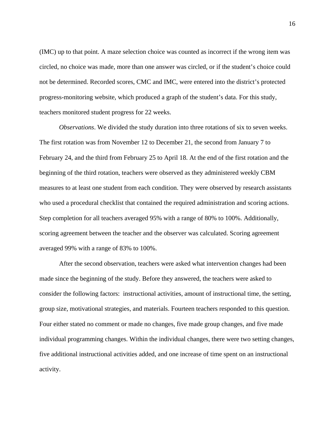(IMC) up to that point. A maze selection choice was counted as incorrect if the wrong item was circled, no choice was made, more than one answer was circled, or if the student's choice could not be determined. Recorded scores, CMC and IMC, were entered into the district's protected progress-monitoring website, which produced a graph of the student's data. For this study, teachers monitored student progress for 22 weeks.

*Observations*. We divided the study duration into three rotations of six to seven weeks. The first rotation was from November 12 to December 21, the second from January 7 to February 24, and the third from February 25 to April 18. At the end of the first rotation and the beginning of the third rotation, teachers were observed as they administered weekly CBM measures to at least one student from each condition. They were observed by research assistants who used a procedural checklist that contained the required administration and scoring actions. Step completion for all teachers averaged 95% with a range of 80% to 100%. Additionally, scoring agreement between the teacher and the observer was calculated. Scoring agreement averaged 99% with a range of 83% to 100%.

After the second observation, teachers were asked what intervention changes had been made since the beginning of the study. Before they answered, the teachers were asked to consider the following factors: instructional activities, amount of instructional time, the setting, group size, motivational strategies, and materials. Fourteen teachers responded to this question. Four either stated no comment or made no changes, five made group changes, and five made individual programming changes. Within the individual changes, there were two setting changes, five additional instructional activities added, and one increase of time spent on an instructional activity.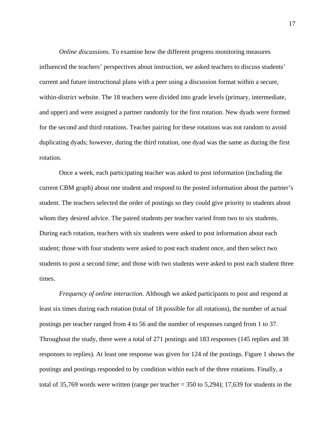*Online discussions.* To examine how the different progress monitoring measures influenced the teachers' perspectives about instruction, we asked teachers to discuss students' current and future instructional plans with a peer using a discussion format within a secure, within-district website. The 18 teachers were divided into grade levels (primary, intermediate, and upper) and were assigned a partner randomly for the first rotation. New dyads were formed for the second and third rotations. Teacher pairing for these rotations was not random to avoid duplicating dyads; however, during the third rotation, one dyad was the same as during the first rotation.

Once a week, each participating teacher was asked to post information (including the current CBM graph) about one student and respond to the posted information about the partner's student. The teachers selected the order of postings so they could give priority to students about whom they desired advice. The paired students per teacher varied from two to six students. During each rotation, teachers with six students were asked to post information about each student; those with four students were asked to post each student once, and then select two students to post a second time; and those with two students were asked to post each student three times.

*Frequency of online interaction*. Although we asked participants to post and respond at least six times during each rotation (total of 18 possible for all rotations), the number of actual postings per teacher ranged from 4 to 56 and the number of responses ranged from 1 to 37. Throughout the study, there were a total of 271 postings and 183 responses (145 replies and 38 responses to replies). At least one response was given for 124 of the postings. Figure 1 shows the postings and postings responded to by condition within each of the three rotations. Finally, a total of 35,769 words were written (range per teacher  $=$  350 to 5,294); 17,639 for students in the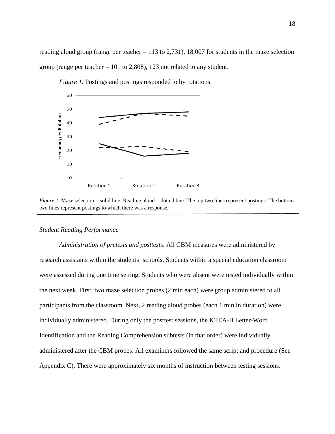reading aloud group (range per teacher  $= 113$  to 2,731), 18,007 for students in the maze selection group (range per teacher  $= 101$  to 2,808), 123 not related to any student.



*Figure 1.* Postings and postings responded to by rotations.

## *Student Reading Performance*

*Administration of pretests and posttests*. All CBM measures were administered by research assistants within the students' schools. Students within a special education classroom were assessed during one time setting. Students who were absent were tested individually within the next week. First, two maze selection probes (2 min each) were group administered to all participants from the classroom. Next, 2 reading aloud probes (each 1 min in duration) were individually administered. During only the posttest sessions, the KTEA-II Letter-Word Identification and the Reading Comprehension subtests (in that order) were individually administered after the CBM probes. All examiners followed the same script and procedure (See Appendix C). There were approximately six months of instruction between testing sessions.

*Figure 1.* Maze selection = solid line; Reading aloud = dotted line. The top two lines represent postings. The bottom two lines represent postings to which there was a response.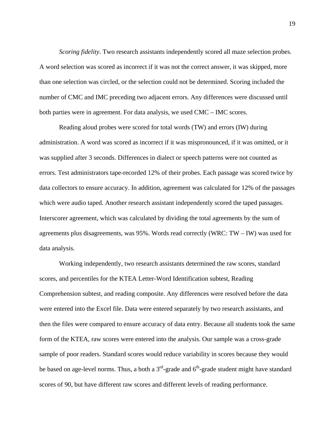*Scoring fidelity*. Two research assistants independently scored all maze selection probes. A word selection was scored as incorrect if it was not the correct answer, it was skipped, more than one selection was circled, or the selection could not be determined. Scoring included the number of CMC and IMC preceding two adjacent errors. Any differences were discussed until both parties were in agreement. For data analysis, we used CMC – IMC scores.

Reading aloud probes were scored for total words (TW) and errors (IW) during administration. A word was scored as incorrect if it was mispronounced, if it was omitted, or it was supplied after 3 seconds. Differences in dialect or speech patterns were not counted as errors. Test administrators tape-recorded 12% of their probes. Each passage was scored twice by data collectors to ensure accuracy. In addition, agreement was calculated for 12% of the passages which were audio taped. Another research assistant independently scored the taped passages. Interscorer agreement, which was calculated by dividing the total agreements by the sum of agreements plus disagreements, was 95%. Words read correctly (WRC: TW – IW) was used for data analysis.

Working independently, two research assistants determined the raw scores, standard scores, and percentiles for the KTEA Letter-Word Identification subtest, Reading Comprehension subtest, and reading composite. Any differences were resolved before the data were entered into the Excel file. Data were entered separately by two research assistants, and then the files were compared to ensure accuracy of data entry. Because all students took the same form of the KTEA, raw scores were entered into the analysis. Our sample was a cross-grade sample of poor readers. Standard scores would reduce variability in scores because they would be based on age-level norms. Thus, a both a  $3<sup>rd</sup>$ -grade and  $6<sup>th</sup>$ -grade student might have standard scores of 90, but have different raw scores and different levels of reading performance.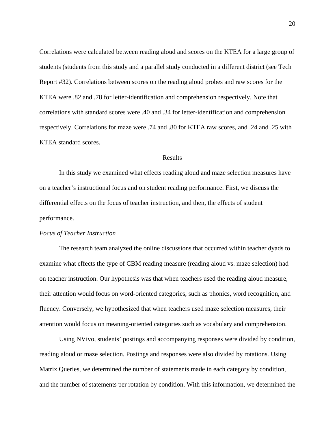Correlations were calculated between reading aloud and scores on the KTEA for a large group of students (students from this study and a parallel study conducted in a different district (see Tech Report #32). Correlations between scores on the reading aloud probes and raw scores for the KTEA were .82 and .78 for letter-identification and comprehension respectively. Note that correlations with standard scores were .40 and .34 for letter-identification and comprehension respectively. Correlations for maze were .74 and .80 for KTEA raw scores, and .24 and .25 with KTEA standard scores.

#### Results

In this study we examined what effects reading aloud and maze selection measures have on a teacher's instructional focus and on student reading performance. First, we discuss the differential effects on the focus of teacher instruction, and then, the effects of student performance.

## *Focus of Teacher Instruction*

The research team analyzed the online discussions that occurred within teacher dyads to examine what effects the type of CBM reading measure (reading aloud vs. maze selection) had on teacher instruction. Our hypothesis was that when teachers used the reading aloud measure, their attention would focus on word-oriented categories, such as phonics, word recognition, and fluency. Conversely, we hypothesized that when teachers used maze selection measures, their attention would focus on meaning-oriented categories such as vocabulary and comprehension.

Using NVivo, students' postings and accompanying responses were divided by condition, reading aloud or maze selection. Postings and responses were also divided by rotations. Using Matrix Queries, we determined the number of statements made in each category by condition, and the number of statements per rotation by condition. With this information, we determined the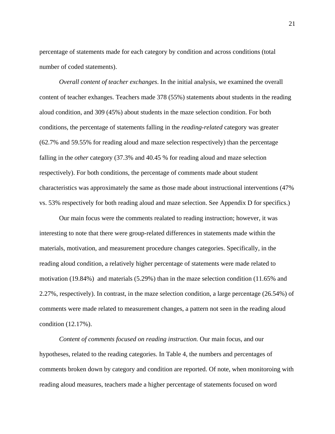percentage of statements made for each category by condition and across conditions (total number of coded statements).

*Overall content of teacher exchanges*. In the initial analysis, we examined the overall content of teacher exhanges. Teachers made 378 (55%) statements about students in the reading aloud condition, and 309 (45%) about students in the maze selection condition. For both conditions, the percentage of statements falling in the *reading-related* category was greater (62.7% and 59.55% for reading aloud and maze selection respectively) than the percentage falling in the *other* category (37.3% and 40.45 % for reading aloud and maze selection respectively). For both conditions, the percentage of comments made about student characteristics was approximately the same as those made about instructional interventions (47% vs. 53% respectively for both reading aloud and maze selection. See Appendix D for specifics.)

Our main focus were the comments realated to reading instruction; however, it was interesting to note that there were group-related differences in statements made within the materials, motivation, and measurement procedure changes categories. Specifically, in the reading aloud condition, a relatively higher percentage of statements were made related to motivation (19.84%) and materials (5.29%) than in the maze selection condition (11.65% and 2.27%, respectively). In contrast, in the maze selection condition, a large percentage (26.54%) of comments were made related to measurement changes, a pattern not seen in the reading aloud condition (12.17%).

*Content of comments focused on reading instruction.* Our main focus, and our hypotheses, related to the reading categories. In Table 4, the numbers and percentages of comments broken down by category and condition are reported. Of note, when monitoroing with reading aloud measures, teachers made a higher percentage of statements focused on word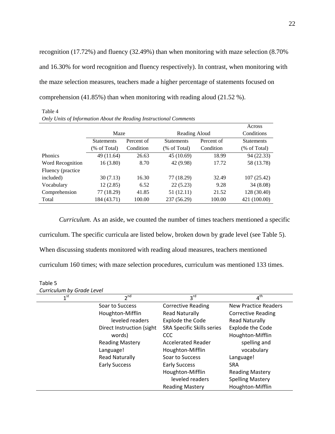recognition (17.72%) and fluency (32.49%) than when monitoring with maze selection (8.70% and 16.30% for word recognition and fluency respectively). In contrast, when monitoring with the maze selection measures, teachers made a higher percentage of statements focused on comprehension  $(41.85\%)$  than when monitoring with reading aloud  $(21.52\%)$ .

*Only Units of Information About the Reading Instructional Comments*  Maze Reading Aloud Across **Conditions Statements** (% of Total) Percent of Condition Statements (% of Total) Percent of **Condition** Statements (% of Total) Phonics 49 (11.64) 26.63 45 (10.69) 18.99 94 (22.33) Word Recognition 16 (3.80) 8.70 42 (9.98) 17.72 58 (13.78) Fluency (practice included) 30 (7.13) 16.30 77 (18.29) 32.49 107 (25.42) Vocabulary 12 (2.85) 6.52 22 (5.23) 9.28 34 (8.08) Comprehension 77 (18.29) 41.85 51 (12.11) 21.52 128 (30.40) Total 184 (43.71) 100.00 237 (56.29) 100.00 421 (100.00)

*Curriculum.* As an aside, we counted the number of times teachers mentioned a specific curriculum. The specific curricula are listed below, broken down by grade level (see Table 5). When discussing students monitored with reading aloud measures, teachers mentioned curriculum 160 times; with maze selection procedures, curriculum was mentioned 133 times.

| Table 5 |                           |
|---------|---------------------------|
|         | Curriculum by Grade Level |

Table 4

| $\frac{1}{2}$   |                           |                            |                             |
|-----------------|---------------------------|----------------------------|-----------------------------|
| 1 <sup>st</sup> | $2^{nd}$                  | $3^{\text{rd}}$            | $4^{\mathsf{th}}$           |
|                 | Soar to Success           | <b>Corrective Reading</b>  | <b>New Practice Readers</b> |
|                 | Houghton-Mifflin          | <b>Read Naturally</b>      | <b>Corrective Reading</b>   |
|                 | leveled readers           | <b>Explode the Code</b>    | <b>Read Naturally</b>       |
|                 | Direct Instruction (sight | SRA Specific Skills series | <b>Explode the Code</b>     |
|                 | words)                    | CCC                        | Houghton-Mifflin            |
|                 | <b>Reading Mastery</b>    | <b>Accelerated Reader</b>  | spelling and                |
|                 | Language!                 | Houghton-Mifflin           | vocabulary                  |
|                 | <b>Read Naturally</b>     | Soar to Success            | Language!                   |
|                 | <b>Early Success</b>      | <b>Early Success</b>       | <b>SRA</b>                  |
|                 |                           | Houghton-Mifflin           | <b>Reading Mastery</b>      |
|                 |                           | leveled readers            | <b>Spelling Mastery</b>     |
|                 |                           | <b>Reading Mastery</b>     | Houghton-Mifflin            |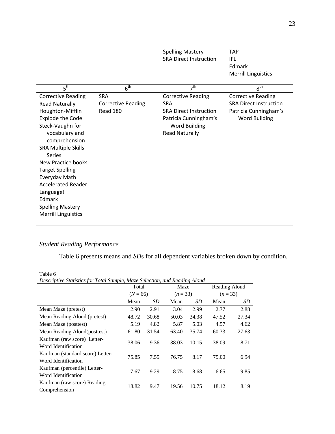|                            |                           | <b>SRA Direct Instruction</b> | IFL                           |
|----------------------------|---------------------------|-------------------------------|-------------------------------|
|                            |                           |                               | Edmark                        |
|                            |                           |                               | <b>Merrill Linguistics</b>    |
| 5 <sup>th</sup>            | 6 <sup>th</sup>           | 7 <sup>th</sup>               | $8^{\text{th}}$               |
| <b>Corrective Reading</b>  | <b>SRA</b>                | <b>Corrective Reading</b>     | <b>Corrective Reading</b>     |
| <b>Read Naturally</b>      | <b>Corrective Reading</b> | <b>SRA</b>                    | <b>SRA Direct Instruction</b> |
| Houghton-Mifflin           | Read 180                  | <b>SRA Direct Instruction</b> | Patricia Cunningham's         |
| <b>Explode the Code</b>    |                           | Patricia Cunningham's         | <b>Word Building</b>          |
| Steck-Vaughn for           |                           | <b>Word Building</b>          |                               |
| vocabulary and             |                           | <b>Read Naturally</b>         |                               |
| comprehension              |                           |                               |                               |
| <b>SRA Multiple Skills</b> |                           |                               |                               |
| <b>Series</b>              |                           |                               |                               |
| <b>New Practice books</b>  |                           |                               |                               |
| <b>Target Spelling</b>     |                           |                               |                               |
| Everyday Math              |                           |                               |                               |
| <b>Accelerated Reader</b>  |                           |                               |                               |
| Language!                  |                           |                               |                               |
| Edmark                     |                           |                               |                               |
| <b>Spelling Mastery</b>    |                           |                               |                               |
| <b>Merrill Linguistics</b> |                           |                               |                               |
|                            |                           |                               |                               |

Spelling Mastery

TAP

# *Student Reading Performance*

Table 6 presents means and *SD*s for all dependent variables broken down by condition.

Table 6<br>Descriptiv

| <b>Table</b> 0                                                             |            |           |          |       |               |       |  |  |
|----------------------------------------------------------------------------|------------|-----------|----------|-------|---------------|-------|--|--|
| Descriptive Statistics for Total Sample, Maze Selection, and Reading Aloud |            |           |          |       |               |       |  |  |
|                                                                            | Total      |           | Maze     |       | Reading Aloud |       |  |  |
|                                                                            | $(N = 66)$ |           | $(n=33)$ |       | $(n=33)$      |       |  |  |
|                                                                            | Mean       | <i>SD</i> | Mean     | SD    | Mean          | SD    |  |  |
| Mean Maze (pretest)                                                        | 2.90       | 2.91      | 3.04     | 2.99  | 2.77          | 2.88  |  |  |
| Mean Reading Aloud (pretest)                                               | 48.72      | 30.68     | 50.03    | 34.38 | 47.52         | 27.34 |  |  |
| Mean Maze (posttest)                                                       | 5.19       | 4.82      | 5.87     | 5.03  | 4.57          | 4.62  |  |  |
| Mean Reading Aloud(posttest)                                               | 61.80      | 31.54     | 63.40    | 35.74 | 60.33         | 27.63 |  |  |
| Kaufman (raw score) Letter-<br>Word Identification                         | 38.06      | 9.36      | 38.03    | 10.15 | 38.09         | 8.71  |  |  |
| Kaufman (standard score) Letter-<br>Word Identification                    | 75.85      | 7.55      | 76.75    | 8.17  | 75.00         | 6.94  |  |  |
| Kaufman (percentile) Letter-<br>Word Identification                        | 7.67       | 9.29      | 8.75     | 8.68  | 6.65          | 9.85  |  |  |
| Kaufman (raw score) Reading<br>Comprehension                               | 18.82      | 9.47      | 19.56    | 10.75 | 18.12         | 8.19  |  |  |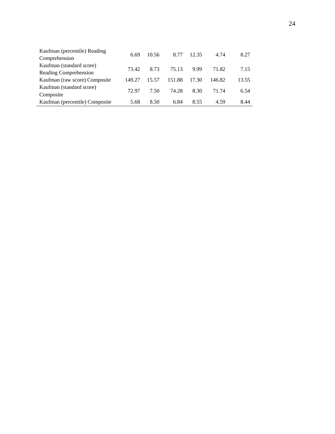| Kaufman (percentile) Reading   | 6.69   | 10.56 | 8.77   | 12.35 | 4.74   | 8.27  |
|--------------------------------|--------|-------|--------|-------|--------|-------|
| Comprehension                  |        |       |        |       |        |       |
| Kaufman (standard score)       | 73.42  | 8.73  | 75.13  | 9.99  | 71.82  | 7.15  |
| Reading Comprehension          |        |       |        |       |        |       |
| Kaufman (raw score) Composite  | 149.27 | 15.57 | 151.88 | 17.30 | 146.82 | 13.55 |
| Kaufman (standard score)       | 72.97  | 7.50  | 74.28  | 8.30  | 71.74  |       |
| Composite                      |        |       |        |       |        | 6.54  |
| Kaufman (percentile) Composite | 5.68   | 8.50  | 6.84   | 8.55  | 4.59   | 8.44  |
|                                |        |       |        |       |        |       |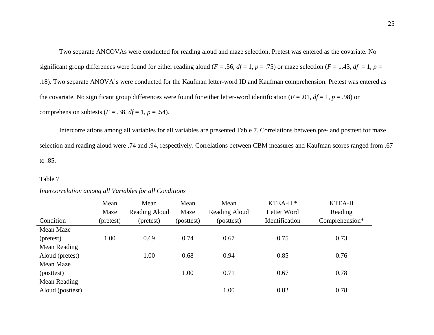Two separate ANCOVAs were conducted for reading aloud and maze selection. Pretest was entered as the covariate. No significant group differences were found for either reading aloud ( $F = .56$ ,  $df = 1$ ,  $p = .75$ ) or maze selection ( $F = 1.43$ ,  $df = 1$ ,  $p =$ .18). Two separate ANOVA's were conducted for the Kaufman letter-word ID and Kaufman comprehension. Pretest was entered as the covariate. No significant group differences were found for either letter-word identification ( $F = .01$ ,  $df = 1$ ,  $p = .98$ ) or comprehension subtests ( $F = .38$ ,  $df = 1$ ,  $p = .54$ ).

Intercorrelations among all variables for all variables are presented Table 7. Correlations between pre- and posttest for maze selection and reading aloud were .74 and .94, respectively. Correlations between CBM measures and Kaufman scores ranged from .67 to .85.

#### Table 7

|                  | Mean      | Mean          | Mean       | Mean          | KTEA-II <sup>*</sup> | KTEA-II        |
|------------------|-----------|---------------|------------|---------------|----------------------|----------------|
|                  | Maze      | Reading Aloud | Maze       | Reading Aloud | Letter Word          | Reading        |
| Condition        | (pretest) | (pretest)     | (posttest) | (posttest)    | Identification       | Comprehension* |
| Mean Maze        |           |               |            |               |                      |                |
| (pretest)        | 1.00      | 0.69          | 0.74       | 0.67          | 0.75                 | 0.73           |
| Mean Reading     |           |               |            |               |                      |                |
| Aloud (pretest)  |           | 1.00          | 0.68       | 0.94          | 0.85                 | 0.76           |
| Mean Maze        |           |               |            |               |                      |                |
| (posttest)       |           |               | 1.00       | 0.71          | 0.67                 | 0.78           |
| Mean Reading     |           |               |            |               |                      |                |
| Aloud (posttest) |           |               |            | 1.00          | 0.82                 | 0.78           |

## *Intercorrelation among all Variables for all Conditions*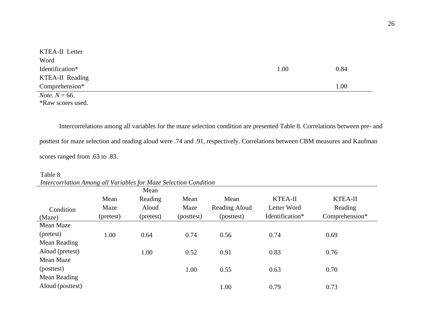| <b>KTEA-II</b> Letter   |      |      |
|-------------------------|------|------|
| Word                    |      |      |
| Identification*         | 1.00 | 0.84 |
| KTEA-II Reading         |      |      |
| Comprehension*          |      | 1.00 |
| <i>Note.</i> $N = 66$ . |      |      |
| *Raw scores used.       |      |      |

Intercorrelations among all variables for the maze selection condition are presented Table 8. Correlations between pre- and posttest for maze selection and reading aloud were .74 and .91, respectively. Correlations between CBM measures and Kaufman scores ranged from .63 to .83.

## Table 8 *Intercorrlation Among all Variables for Maze Selection Condition*

|                  |           | Mean      |            |               |                 |                |
|------------------|-----------|-----------|------------|---------------|-----------------|----------------|
|                  | Mean      | Reading   | Mean       | Mean          | KTEA-II         | <b>KTEA-II</b> |
| Condition        | Maze      | Aloud     | Maze       | Reading Aloud | Letter Word     | Reading        |
| (Maze)           | (pretest) | (pretest) | (posttest) | (posttest)    | Identification* | Comprehension* |
| Mean Maze        |           |           |            |               |                 |                |
| (pretest)        | 1.00      | 0.64      | 0.74       | 0.56          | 0.74            | 0.69           |
| Mean Reading     |           |           |            |               |                 |                |
| Aloud (pretest)  |           | 1.00      | 0.52       | 0.91          | 0.83            | 0.76           |
| Mean Maze        |           |           |            |               |                 |                |
| (posttest)       |           |           | 1.00       | 0.55          | 0.63            | 0.70           |
| Mean Reading     |           |           |            |               |                 |                |
| Aloud (posttest) |           |           |            | 1.00          | 0.79            | 0.73           |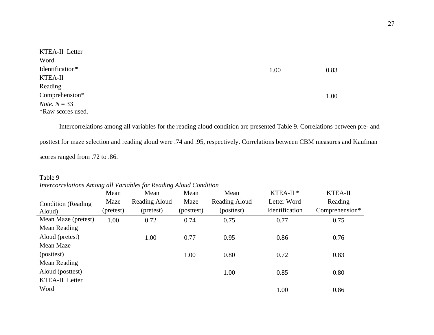| <b>KTEA-II</b> Letter  |      |      |
|------------------------|------|------|
| Word                   |      |      |
| Identification*        | 1.00 | 0.83 |
| KTEA-II                |      |      |
| Reading                |      |      |
| Comprehension*         |      | 1.00 |
| <i>Note</i> . $N = 33$ |      |      |

\*Raw scores used.

Intercorrelations among all variables for the reading aloud condition are presented Table 9. Correlations between pre- and posttest for maze selection and reading aloud were .74 and .95, respectively. Correlations between CBM measures and Kaufman scores ranged from .72 to .86.

# Table 9 *Intercorrelations Among all Variables for Reading Aloud Condition*

|                           | Mean      | Mean          | Mean       | Mean          | KTEA-II <sup>*</sup>  | <b>KTEA-II</b> |
|---------------------------|-----------|---------------|------------|---------------|-----------------------|----------------|
| <b>Condition</b> (Reading | Maze      | Reading Aloud | Maze       | Reading Aloud | Letter Word           | Reading        |
| Aloud)                    | (pretest) | (pretest)     | (posttest) | (posttest)    | <b>Identification</b> | Comprehension* |
| Mean Maze (pretest)       | 1.00      | 0.72          | 0.74       | 0.75          | 0.77                  | 0.75           |
| Mean Reading              |           |               |            |               |                       |                |
| Aloud (pretest)           |           | 1.00          | 0.77       | 0.95          | 0.86                  | 0.76           |
| Mean Maze                 |           |               |            |               |                       |                |
| (posttest)                |           |               | 1.00       | 0.80          | 0.72                  | 0.83           |
| Mean Reading              |           |               |            |               |                       |                |
| Aloud (posttest)          |           |               |            | 1.00          | 0.85                  | 0.80           |
| <b>KTEA-II</b> Letter     |           |               |            |               |                       |                |
| Word                      |           |               |            |               | 1.00                  | 0.86           |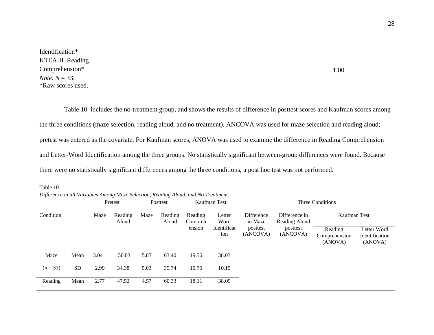| Identification*         |      |
|-------------------------|------|
| KTEA-II Reading         |      |
| Comprehension*          | .00. |
| <i>Note.</i> $N = 33$ . |      |

\*Raw scores used.

 Table 10 includes the no-treatment group, and shows the results of difference in posttest scores and Kaufman scores among the three conditions (maze selection, reading aloud, and no treatment). ANCOVA was used for maze selection and reading aloud; pretest was entered as the covariate. For Kaufman scores, ANOVA was used to examine the difference in Reading Comprehension and Letter-Word Identification among the three groups. No statistically significant between-group differences were found. Because there were no statistically significant differences among the three conditions, a post hoc test was not performed.

| Table 10 |  |                                                                                   |
|----------|--|-----------------------------------------------------------------------------------|
|          |  | Difference in all Variables Among Maze Selection, Reading Aloud, and No Treatment |

|           |           |      | Pretest          | Posttest |                  |                    | Kaufman Test       |                       | Three Conditions               |                                     |                                          |  |
|-----------|-----------|------|------------------|----------|------------------|--------------------|--------------------|-----------------------|--------------------------------|-------------------------------------|------------------------------------------|--|
| Condition |           | Maze | Reading<br>Aloud | Maze     | Reading<br>Aloud | Reading<br>Compreh | Letter<br>Word     | Difference<br>in Maze | Difference in<br>Reading Aloud | Kaufman Test                        |                                          |  |
|           |           |      |                  |          |                  | ension             | Identificat<br>ion | posttest<br>(ANCOVA)  | posttest<br>(ANCOVA)           | Reading<br>Comprehension<br>(ANOVA) | Letter Word<br>Identification<br>(ANOVA) |  |
| Maze      | Mean      | 3.04 | 50.03            | 5.87     | 63.40            | 19.56              | 38.03              |                       |                                |                                     |                                          |  |
| $(n=33)$  | <b>SD</b> | 2.99 | 34.38            | 5.03     | 35.74            | 10.75              | 10.15              |                       |                                |                                     |                                          |  |
| Reading   | Mean      | 2.77 | 47.52            | 4.57     | 60.33            | 18.11              | 38.09              |                       |                                |                                     |                                          |  |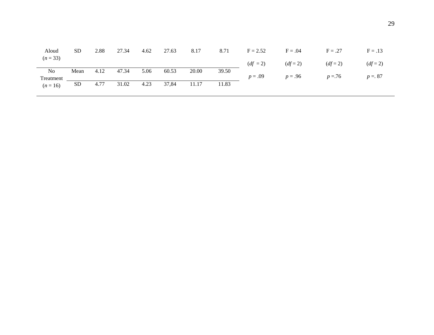| Aloud                       | <b>SD</b> | 2.88 | 27.34 | 4.62 | 27.63 | 8.17  | 8.71  | $F = 2.52$ | $F = .04$ | $F = .27$ | $F = .13$  |
|-----------------------------|-----------|------|-------|------|-------|-------|-------|------------|-----------|-----------|------------|
| $(n=33)$                    |           |      |       |      |       |       |       | $(df = 2)$ | $(df=2)$  | $(df=2)$  | $(df = 2)$ |
| N <sub>0</sub><br>Treatment | Mean      | 4.12 | 47.34 | 5.06 | 60.53 | 20.00 | 39.50 | $p = .09$  | $p = .96$ | $p = 76$  | $p = 87$   |
| $(n = 16)$                  | <b>SD</b> | 4.77 | 31.02 | 4.23 | 37,84 | 11.17 | 11.83 |            |           |           |            |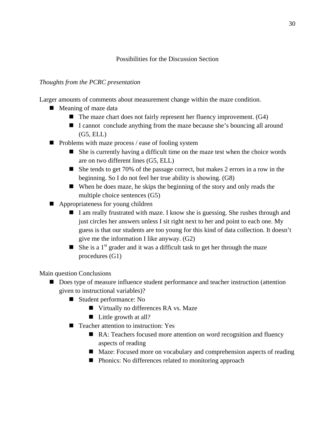# Possibilities for the Discussion Section

# *Thoughts from the PCRC presentation*

Larger amounts of comments about measurement change within the maze condition.

- Meaning of maze data
	- $\blacksquare$  The maze chart does not fairly represent her fluency improvement. (G4)
	- I cannot conclude anything from the maze because she's bouncing all around (G5, ELL)
- $\blacksquare$  Problems with maze process / ease of fooling system
	- She is currently having a difficult time on the maze test when the choice words are on two different lines (G5, ELL)
	- She tends to get 70% of the passage correct, but makes 2 errors in a row in the beginning. So I do not feel her true ability is showing. (G8)
	- When he does maze, he skips the beginning of the story and only reads the multiple choice sentences (G5)
- Appropriateness for young children
	- I am really frustrated with maze. I know she is guessing. She rushes through and just circles her answers unless I sit right next to her and point to each one. My guess is that our students are too young for this kind of data collection. It doesn't give me the information I like anyway. (G2)
	- She is a  $1<sup>st</sup>$  grader and it was a difficult task to get her through the maze procedures (G1)

Main question Conclusions

- Does type of measure influence student performance and teacher instruction (attention given to instructional variables)?
	- Student performance: No
		- Virtually no differences RA vs. Maze
		- Little growth at all?
	- Teacher attention to instruction: Yes
		- RA: Teachers focused more attention on word recognition and fluency aspects of reading
		- Maze: Focused more on vocabulary and comprehension aspects of reading
		- Phonics: No differences related to monitoring approach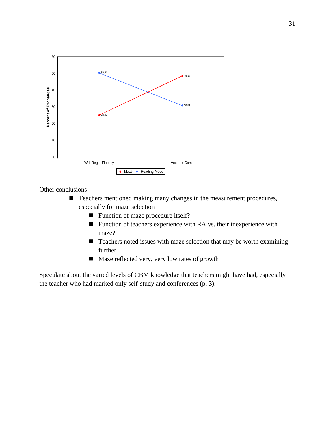

Other conclusions

- Teachers mentioned making many changes in the measurement procedures, especially for maze selection
	- Function of maze procedure itself?
	- Function of teachers experience with RA vs. their inexperience with maze?
	- $\blacksquare$  Teachers noted issues with maze selection that may be worth examining further
	- Maze reflected very, very low rates of growth

Speculate about the varied levels of CBM knowledge that teachers might have had, especially the teacher who had marked only self-study and conferences (p. 3).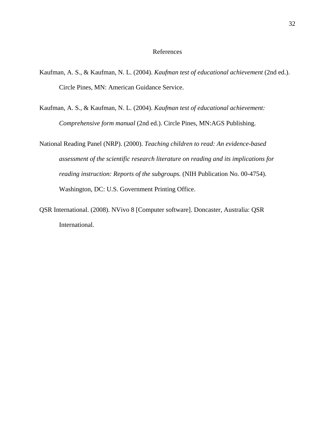## References

- Kaufman, A. S., & Kaufman, N. L. (2004). *Kaufman test of educational achievement* (2nd ed.). Circle Pines, MN: American Guidance Service.
- Kaufman, A. S., & Kaufman, N. L. (2004). *Kaufman test of educational achievement: Comprehensive form manual* (2nd ed.). Circle Pines, MN:AGS Publishing.
- National Reading Panel (NRP). (2000). *Teaching children to read: An evidence-based assessment of the scientific research literature on reading and its implications for reading instruction: Reports of the subgroups.* (NIH Publication No. 00-4754). Washington, DC: U.S. Government Printing Office.
- QSR International. (2008). NVivo 8 [Computer software]. Doncaster, Australia: QSR International.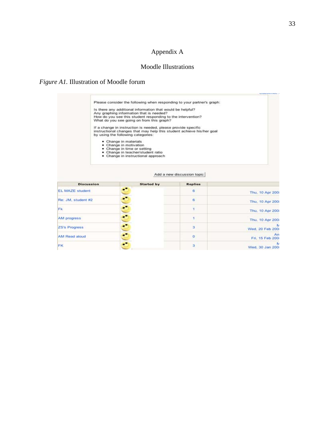# Appendix A

# Moodle Illustrations

# *Figure A1.* Illustration of Moodle forum

|                        | Please consider the following when responding to your partner's graph:<br>Is there any additional information that would be helpful?<br>Any graphing information that is needed?<br>How do you see this student responding to the intervention?<br>What do you see going on from this graph?<br>If a change in instruction is needed, please provide specific<br>instructional changes that may help this student achieve his/her goal<br>by using the following categories:<br>· Change in materials<br>• Change in motivation<br>· Change in time or setting<br>· Change in teacher/student ratio<br>· Change in instructional approach | Add a new discussion topic |                       |
|------------------------|-------------------------------------------------------------------------------------------------------------------------------------------------------------------------------------------------------------------------------------------------------------------------------------------------------------------------------------------------------------------------------------------------------------------------------------------------------------------------------------------------------------------------------------------------------------------------------------------------------------------------------------------|----------------------------|-----------------------|
| <b>Discussion</b>      | <b>Started by</b>                                                                                                                                                                                                                                                                                                                                                                                                                                                                                                                                                                                                                         | <b>Replies</b>             |                       |
| <b>EL MAZE student</b> | ċ                                                                                                                                                                                                                                                                                                                                                                                                                                                                                                                                                                                                                                         | 6                          | Thu, 10 Apr 200       |
| Re: JM, student #2     |                                                                                                                                                                                                                                                                                                                                                                                                                                                                                                                                                                                                                                           | 6                          | Thu, 10 Apr 200       |
| Fk.                    |                                                                                                                                                                                                                                                                                                                                                                                                                                                                                                                                                                                                                                           | 1                          | Thu, 10 Apr 200       |
| AM progress            |                                                                                                                                                                                                                                                                                                                                                                                                                                                                                                                                                                                                                                           | ۹                          | Thu, 10 Apr 200       |
| <b>ZS's Progress</b>   |                                                                                                                                                                                                                                                                                                                                                                                                                                                                                                                                                                                                                                           | з                          | Wed. 20 Feb 200       |
| AM Read aloud          | 000000                                                                                                                                                                                                                                                                                                                                                                                                                                                                                                                                                                                                                                    | ٥                          | An<br>Fri. 15 Feb 200 |
| FK                     |                                                                                                                                                                                                                                                                                                                                                                                                                                                                                                                                                                                                                                           | 3                          | Wed. 30 Jan 200       |

**Numerican**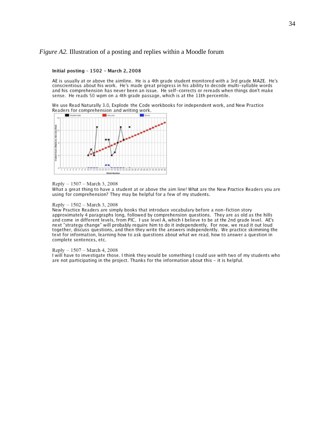#### *Figure A2.* Illustration of a posting and replies within a Moodle forum

#### Initial posting - 1502 - March 2, 2008

AE is usually at or above the aimline. He is a 4th grade student monitored with a 3rd grade MAZE. He's conscientious about his work. He's made great progress in his ability to decode multi-syllable words and his comprehension has never been an issue. He self-corrects or rereads when things don't make sense. He reads 50 wpm on a 4th grade passage, which is at the 11th percentile.

We use Read Naturally 3.0, Explode the Code workbooks for independent work, and New Practice Readers for comprehension and writing work.



#### Reply - 1507 - March 3, 2008

What a great thing to have a student at or above the aim line! What are the New Practice Readers you are using for comprehension? They may be helpful for a few of my students.

#### Reply - 1502 - March 3, 2008

New Practice Readers are simply books that introduce vocabulary before a non-fiction story approximately 4 paragraphs long, followed by comprehension questions. They are as old as the hills and come in different levels, from PIC. I use level A, which I believe to be at the 2nd grade level. AE's next "strategy change" will probably require him to do it independently. For now, we read it out loud together, discuss questions, and then they write the answers independently. We practice skimming the text for information, learning how to ask questions about what we read, how to answer a question in complete sentences, etc.

#### Reply - 1507 - March 4, 2008

I will have to investigate those. I think they would be something I could use with two of my students who are not participating in the project. Thanks for the information about this - it is helpful.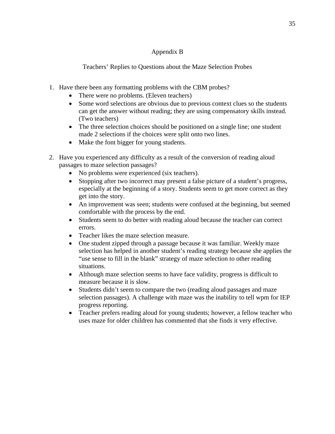# Appendix B

# Teachers' Replies to Questions about the Maze Selection Probes

- 1. Have there been any formatting problems with the CBM probes?
	- There were no problems. (Eleven teachers)
	- Some word selections are obvious due to previous context clues so the students can get the answer without reading; they are using compensatory skills instead. (Two teachers)
	- The three selection choices should be positioned on a single line; one student made 2 selections if the choices were split onto two lines.
	- Make the font bigger for young students.
- 2. Have you experienced any difficulty as a result of the conversion of reading aloud passages to maze selection passages?
	- No problems were experienced (six teachers).
	- Stopping after two incorrect may present a false picture of a student's progress, especially at the beginning of a story. Students seem to get more correct as they get into the story.
	- An improvement was seen; students were confused at the beginning, but seemed comfortable with the process by the end.
	- Students seem to do better with reading aloud because the teacher can correct errors.
	- Teacher likes the maze selection measure.
	- One student zipped through a passage because it was familiar. Weekly maze selection has helped in another student's reading strategy because she applies the "use sense to fill in the blank" strategy of maze selection to other reading situations.
	- Although maze selection seems to have face validity, progress is difficult to measure because it is slow.
	- Students didn't seem to compare the two (reading aloud passages and maze selection passages). A challenge with maze was the inability to tell wpm for IEP progress reporting.
	- Teacher prefers reading aloud for young students; however, a fellow teacher who uses maze for older children has commented that she finds it very effective.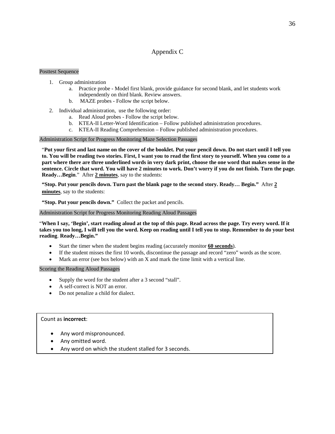## Appendix C

#### Posttest Sequence

- 1. Group administration
	- a. Practice probe Model first blank, provide guidance for second blank, and let students work independently on third blank. Review answers.
	- b. MAZE probes Follow the script below.
- 2. Individual administration, use the following order:
	- a. Read Aloud probes Follow the script below.
	- b. KTEA-II Letter-Word Identification Follow published administration procedures.
	- c. KTEA-II Reading Comprehension Follow published administration procedures.

Administration Script for Progress Monitoring Maze Selection Passages

"**Put your first and last name on the cover of the booklet. Put your pencil down. Do not start until I tell you to. You will be reading two stories. First, I want you to read the first story to yourself. When you come to a part where there are three underlined words in very dark print, choose the one word that makes sense in the sentence. Circle that word. You will have 2 minutes to work. Don't worry if you do not finish. Turn the page. Ready…Begin**." After **2 minutes**, say to the students:

**"Stop. Put your pencils down. Turn past the blank page to the second story. Ready… Begin."** After **2 minutes**, say to the students:

**"Stop. Put your pencils down."** Collect the packet and pencils.

#### Administration Script for Progress Monitoring Reading Aloud Passages

"**When I say, 'Begin', start reading aloud at the top of this page. Read across the page. Try every word. If it takes you too long, I will tell you the word. Keep on reading until I tell you to stop. Remember to do your best reading**. **Ready…Begin."**

- Start the timer when the student begins reading (accurately monitor **60 seconds**).
- If the student misses the first 10 words, discontinue the passage and record "zero" words as the score.
- Mark an error (see box below) with an X and mark the time limit with a vertical line.

#### Scoring the Reading Aloud Passages

- Supply the word for the student after a 3 second "stall".
- A self-correct is NOT an error.
- Do not penalize a child for dialect.

#### Count as **incorrect**:

- Any word mispronounced.
- Any omitted word.
- Any word on which the student stalled for 3 seconds.